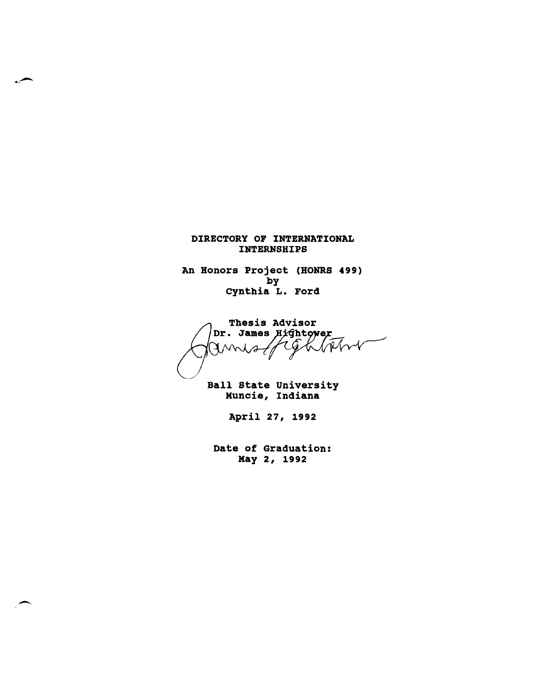#### DIRECTORY OF INTERNATIONAL INTERNSHIPS

An Honors Project (HONRS 499) by cynthia L. Ford

Thesis Advisor Dr. James Hightower  $\overline{\phantom{a}}$ Rfrt  $\mathcal{X}$  $\gamma_{\!\sim}$ 

Ball State University Muncie, Indiana

April 27, 1992

Date of Graduation: May 2, 1992

--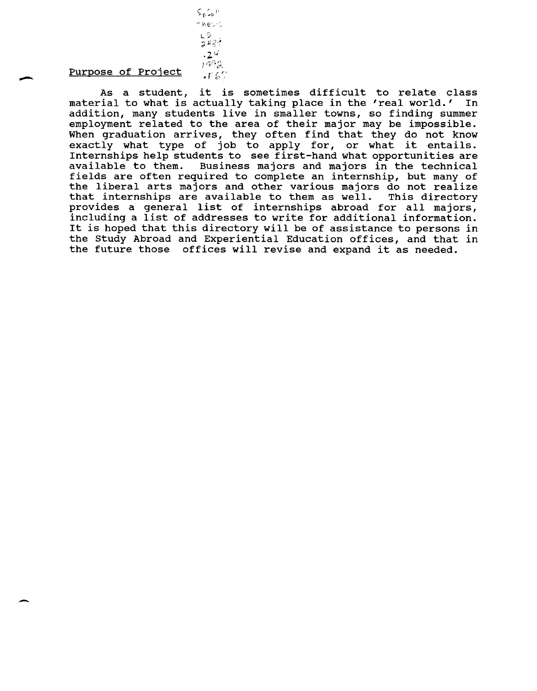### Purpose of Project

 $S_p G_p$ <sup>1'</sup>  $m$ ec $\cdot$ :

> L V<br>2 48 ?  $.24$  $1992$  $\cdot$  F b  $7$

-

As a student, it is sometimes difficult to relate class<br>ial to what is actually taking place in the 'real world.' In material to what is actually taking place in the 'real world.' addition, many students live in smaller towns, so finding summer employment related to the area of their major may be impossible. When graduation arrives, they often find that they do not know exactly what type of job to apply for, or what it entails. Internships help students to see first-hand what opportunities are available to them. Business majors and majors in the technical Business majors and majors in the technical fields are often required to complete an internship, but many of the liberal arts majors and other various majors do not realize<br>that internships are available to them as well. This directory that internships are available to them as well. provides a general list of internships abroad for all majors, including a list of addresses to write for additional information. It is hoped that this directory will be of assistance to persons in the study Abroad and Experiential Education offices, and that in the future those offices will revise and expand it as needed.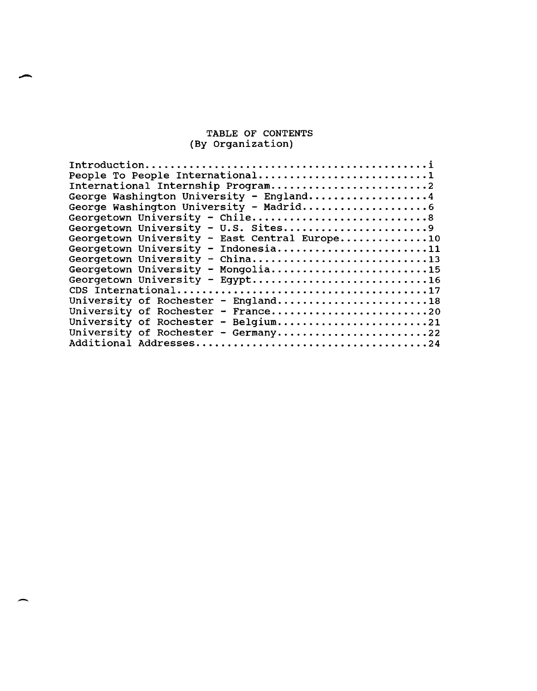#### TABLE OF CONTENTS (By Organization)

| People To People International1               |  |  |  |  |
|-----------------------------------------------|--|--|--|--|
| International Internship Program2             |  |  |  |  |
| George Washington University - England4       |  |  |  |  |
| George Washington University - Madrid6        |  |  |  |  |
| Georgetown University - Chile8                |  |  |  |  |
|                                               |  |  |  |  |
| Georgetown University - U.S. Sites9           |  |  |  |  |
| Georgetown University - East Central Europe10 |  |  |  |  |
| Georgetown University - Indonesia11           |  |  |  |  |
| Georgetown University - China13               |  |  |  |  |
| Georgetown University - Mongolia15            |  |  |  |  |
| Georgetown University - Egypt16               |  |  |  |  |
|                                               |  |  |  |  |
| University of Rochester - England18           |  |  |  |  |
|                                               |  |  |  |  |
| University of Rochester - France20            |  |  |  |  |
| University of Rochester - Belgium21           |  |  |  |  |
| University of Rochester - Germany22           |  |  |  |  |
|                                               |  |  |  |  |
|                                               |  |  |  |  |

-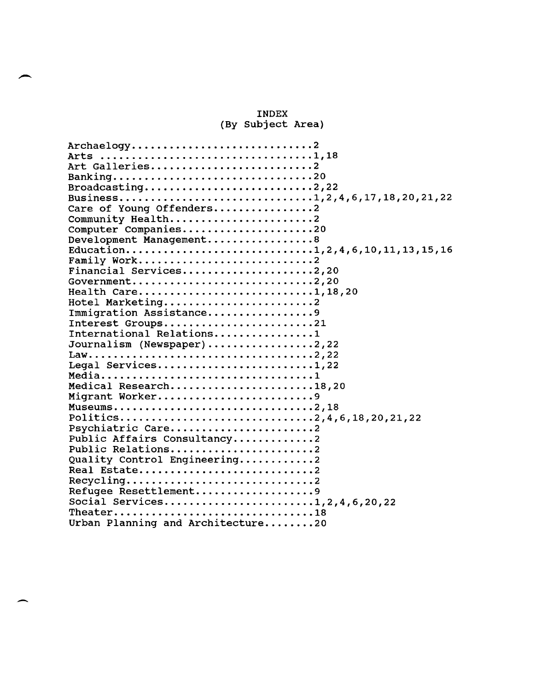#### INDEX (By Subject Area)

| Archaelogy2                       |
|-----------------------------------|
|                                   |
| Art Galleries2                    |
| Banking20                         |
| Broadcasting2,22                  |
|                                   |
| Care of Young Offenders2          |
| Community Health2                 |
| Computer Companies20              |
| Development Management8           |
|                                   |
|                                   |
| Financial Services2,20            |
|                                   |
| Health Care1,18,20                |
| Hotel Marketing2                  |
| Immigration Assistance9           |
| Interest Groups21                 |
| International Relations1          |
| Journalism (Newspaper)2,22        |
|                                   |
| Legal Services1,22                |
|                                   |
| Medical Research18,20             |
| Migrant Worker9                   |
| Museums2,18                       |
| Politics2,4,6,18,20,21,22         |
| Psychiatric Care2                 |
| Public Affairs Consultancy2       |
| Public Relations                  |
| Quality Control Engineering2      |
| Real Estate                       |
| Recycling                         |
| Refugee Resettlement9             |
| Social Services1,2,4,6,20,22      |
| Theater18                         |
| Urban Planning and Architecture20 |
|                                   |

-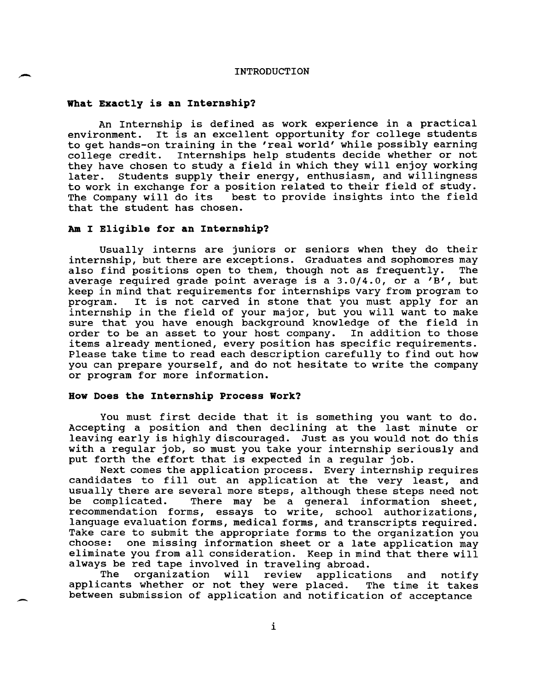#### INTRODUCTION

#### What Exactly is an Internship?

An Internship is defined as work experience in a practical environment. It is an excellent opportunity for college students to get hands-on training in the 'real world' while possibly earning college credit. Internships help students decide whether or not they have chosen to study a field in which they will enjoy working later. Students supply their energy, enthusiasm, and willingness to work in exchange for a position related to their field of study.<br>The Company will do its best to provide insights into the field best to provide insights into the field that the student has chosen.

#### Am I Eligible for an Internship?

Usually interns are juniors or seniors when they do their internship, but there are exceptions. Graduates and sophomores may also find positions open to them, though not as frequently. average required grade point average is a 3.0/4.0, or a 'B', but keep in mind that requirements for internships vary from program to<br>program. It is not carved in stone that you must apply for an It is not carved in stone that you must apply for an internship in the field of your major, but you will want to make sure that you have enough background knowledge of the field in order to be an asset to your host company. In addition to those order to be an asset to your host company. items already mentioned, every position has specific requirements. Please take time to read each description carefully to find out how you can prepare yourself, and do not hesitate to write the company or program for more information.

#### **How Does the Internship Process Work1**

 $\overline{\phantom{0}}$ 

You must first decide that it is something you want to do. Accepting a position and then declining at the last minute or leaving early is highly discouraged. Just as you would not do this with a regular job, so must you take your internship seriously and put forth the effort that is expected in a regular job.

Next comes the application process. Every internship requires candidates to fill out an application at the very least, and usually there are several more steps, although these steps need not be complicated. There may be a general information sheet, recommendation forms, essays to write, school authorizations, language evaluation forms, medical forms, and transcripts required. Take care to submit the appropriate forms to the organization you<br>choose: one missing information sheet or a late application may one missing information sheet or a late application may eliminate you from all consideration. Keep in mind that there will always be red tape involved in traveling abroad.

The organization will review applications and notify<br>cants whether or not they were placed. The time it takes applicants whether or not they were placed. between submission of application and notification of acceptance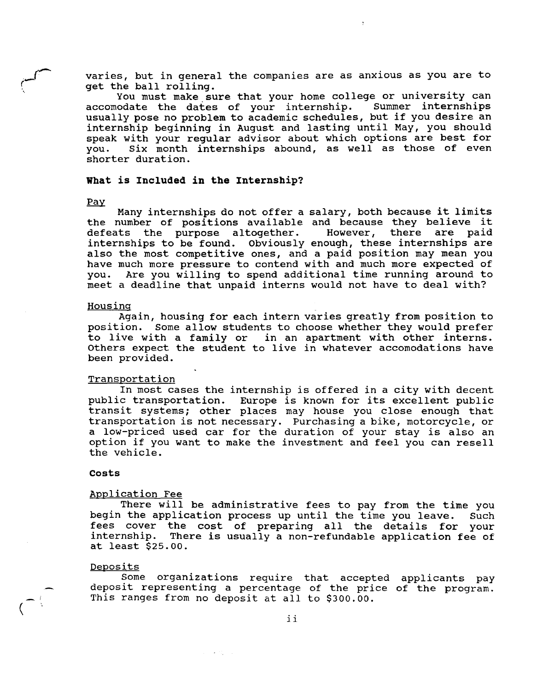varies, but in general the companies are as anxious as you are to get the ball rolling.

You must make sure that your home college or university can accomodate the dates of your internship. Summer internships usually pose no problem to academic schedules, but if you desire an internship beginning in August and lasting until May, you should speak with your regular advisor about which options are best for<br>you. Six month internships abound, as well as those of even Six month internships abound, as well as those of even shorter duration.

#### **What is Included in the Internship?**

#### Pay

سىم

Many internships do not offer a salary, both because it limits the number of positions available and because they believe it<br>defeats the purpose altogether. However, there are paid defeats the purpose altogether. internships to be found. Obviously enough, these internships are also the most competitive ones, and a paid position may mean you have much more pressure to contend with and much more expected of you. Are you willing to spend additional time running around to meet a deadline that unpaid interns would not have to deal with?

#### Housing

Again, housing for each intern varies greatly from position to position. Some allow students to choose whether they would prefer to live with a family or in an apartment with other interns. Others expect the student to live in whatever accomodations have been provided.

#### **Transportation**

In most cases the internship is offered in a city with decent public transportation. Europe is known for its excellent public transit systems; other places may house you close enough that transportation is not necessary. Purchasing a bike, motorcycle, or a low-priced used car for the duration of your stay is also an option if you want to make the investment and feel you can resell the vehicle.

#### **Costs**

#### Application Fee

There will be administrative fees to pay from the time you begin the application process up until the time you leave. Such fees cover the cost of preparing all the details for your internship. There is usually a non-refundable application fee of at least \$25.00.

#### Deposits

 $\overline{\hspace{1mm}\cdot\hspace{1mm}}$ 

Some organizations require that accepted applicants pay deposit representing a percentage of the price of the program. This ranges from no deposit at all to \$300.00.

 $\omega_{\rm c} = 400 M_{\rm B} \approx 10$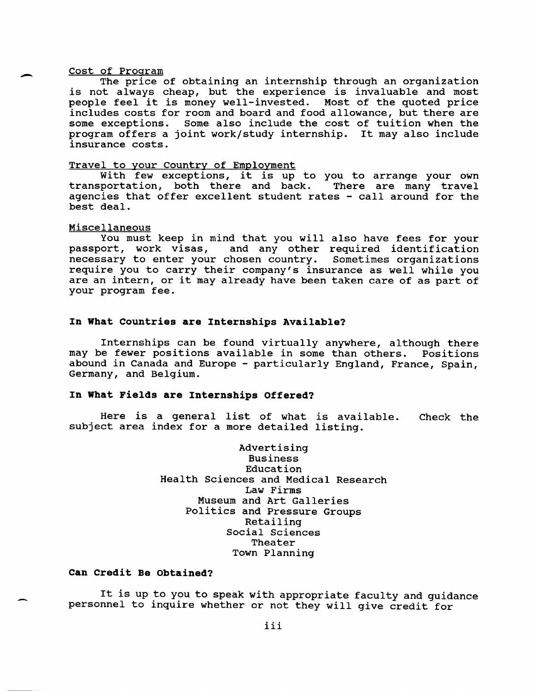Cost of Program<br>
The price of obtaining an internship through an organization<br>
is not always cheap, but the experience is invaluable and most Cost of Program<br>The price of obtaining an internship through an organization people feel it is money well-invested. Most of the quoted price includes costs for room and board and food allowance, but there are some exceptions. Some also include the cost of tuition when the program offers a joint work/study internship. It may also include insurance costs.

#### Travel to your Country of Employment

With few exceptions, it is up to you to arrange your own<br>portation, both there and back. There are many travel transportation, both there and back. agencies that offer excellent student rates - call around for the best deal.

#### Miscellaneous

You must keep in mind that you will also have fees for your passport, work visas, and any other required identification necessary to enter your chosen country. Sometimes organizations require you to carry their company's insurance as well while you are an intern, or it may already have been taken care of as part of your program fee.

#### **In What Countries are Internships Available?**

Internships can be found virtually anywhere, although there may be fewer positions available in some than others. Positions abound in Canada and Europe - particularly England, France, Spain, Germany, and Belgium.

#### **In What Fields are Internships Offered?**

Here is a general list of what is available. subject area index for a more detailed listing. Check the

> Advertising Business Education Health Sciences and Medical Research Law Firms Museum and Art Galleries Politics and Pressure Groups Retailing Social Sciences Theater Town Planning

#### **Can Credit Be Obtained?**

It is up to you to speak with appropriate faculty and guidance personnel to inquire whether or not they will give credit for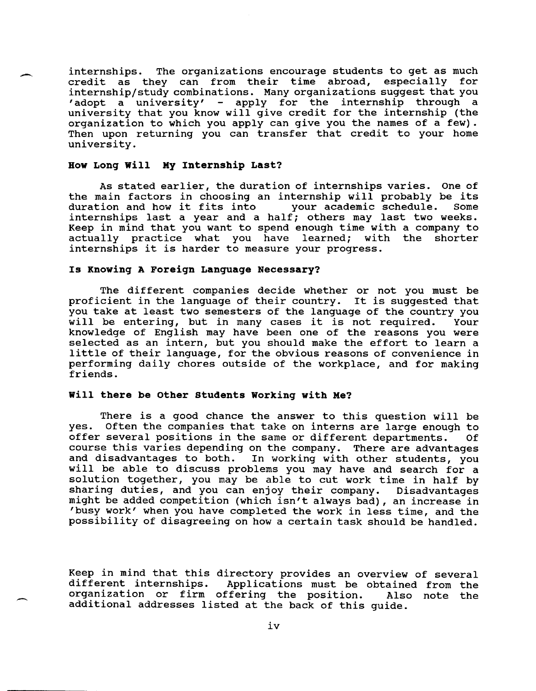internships. The organizations encourage students to get as much credit as they can from their time abroad, especially for internship/study combinations. Many organizations suggest that you 'adopt a university' - apply for the internship through a university that you know will give credit for the internship (the organization to which you apply can give you the names of a few). Then upon returning you can transfer that credit to your home university.

#### **How Long will My Internship Last?**

-

 $\overline{\phantom{0}}$ 

As stated earlier, the duration of internships varies. One of As stated earlief, the duration of internships varies. One of<br>the main factors in choosing an internship will probably be its duration and how it fits into your academic schedule. Some duration and how it fits into your academic schedule. Some internships last a year and a half; others may last two weeks. Keep in mind that you want to spend enough time with a company to actually practice what you have learned; with the shorter internships it is harder to measure your progress.

#### **Is Knowing A Foreign Language Necessary?**

The different companies decide whether or not you must be proficient in the language of their country. It is suggested that you take at least two semesters of the language of the country you you take at least two semesters or the language or the country you<br>will be entering, but in many cases it is not required. Your knowledge of English may have been one of the reasons you were selected as an intern, but you should make the effort to learn a little of their language, for the obvious reasons of convenience in performing daily chores outside of the workplace, and for making friends.

#### **will there be other students Working with Me?**

There is a good chance the answer to this question will be yes. Often the companies that take on interns are large enough to offer several positions in the same or different departments. Of course this varies depending on the company. There are advantages and disadvantages to both. In working with other students, you will be able to discuss problems you may have and search for a solution together, you may be able to cut work time in half by sharing duties, and you can enjoy their company. Disadvantages might be added competition (which isn't always bad), an increase in 'busy work' when you have completed the work in less time, and the possibility of disagreeing on how a certain task should be handled.

Keep in mind that this directory provides an overview of several different internships. Applications must be obtained from the organization or firm offering the position. Also note the additional addresses listed at the back of this guide.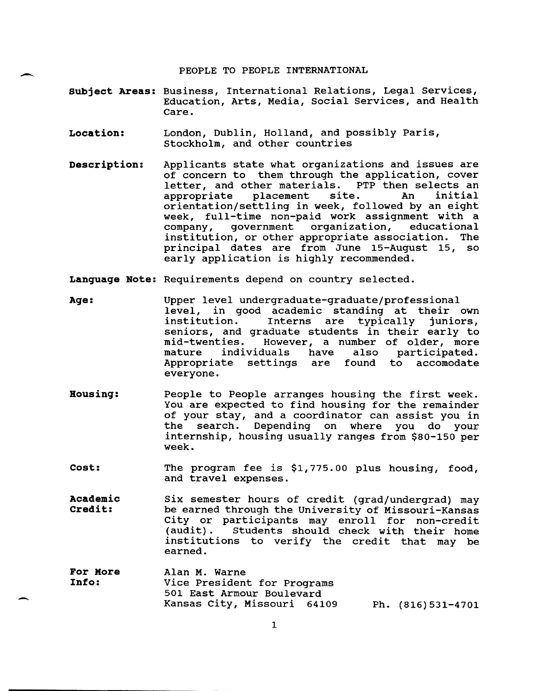PEOPLE TO PEOPLE INTERNATIONAL

- **Subject Areas:** Business, International Relations, Legal Services, Education, Arts, Media, Social Services, and Health Care.
- **Location:**  London, Dublin, Holland, and possibly Paris, stockholm, and other countries

-

 $\overline{\phantom{a}}$ 

- **Description:**  Applicants state what organizations and issues are of concern to them through the application, cover letter, and other materials. PTP then selects an letter, and other materials. PTP then selects an appropriate placement site. An initial appropriate placement site. An initial orientation/settling in week, followed by an eight week, full-time non-paid work assignment with a<br>company, government organization, educational organization, institution, or other appropriate association. The principal dates are from June 15-August 15, so early application is highly recommended.
- **Language Note:** Requirements depend on country selected.
- **Age:**  Upper level undergraduate-graduate/professional level, in good academic standing at their own<br>institution. Interns are typically juniors, Interns are typically seniors, and graduate students in their early to<br>mid-twenties. However, a number of older, more mid-twenties. However, a number of older, more also participated.<br>found to accomodate Appropriate settings are everyone.
- **Housing:**  People to People arranges housing the first week. You are expected to find housing for the remainder of your stay, and a coordinator can assist you in Depending on where you do your internship, housing usually ranges from \$80-150 per week.
- **cost:**  The program fee is \$1,775.00 plus housing, food, and travel expenses.
- **Academic Credit:**  six semester hours of credit (grad/undergrad) may be earned through the University of Missouri-Kansas City or participants may enroll for non-credit (audit) . Students should check with their home institutions to verify the credit that may be earned.
- **For Hore Info:**  Alan M. Warne Vice President for Programs 501 East Armour Boulevard Kansas city, Missouri 64109 Ph. (816) 531-4701

1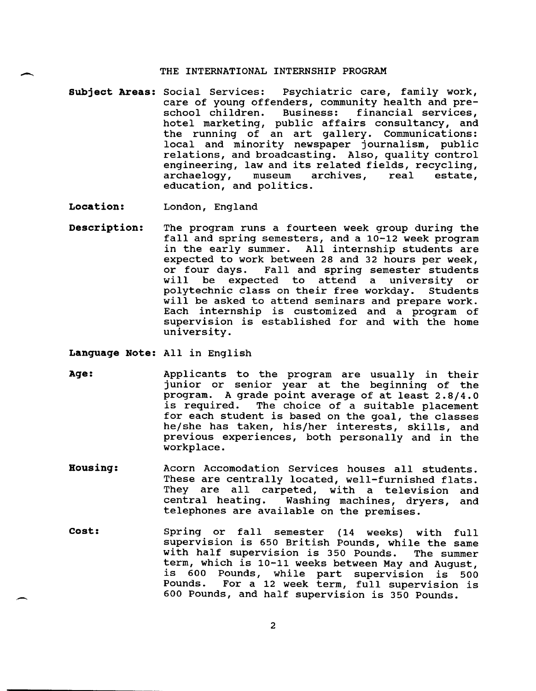#### THE INTERNATIONAL INTERNSHIP PROGRAM

**Subject Areas:** Social Services: Psychiatric care, family work, care of young offenders, community health and pre-<br>school children. Business: financial services, school children. Business: hotel marketing, public affairs consultancy, and the running of an art gallery. Communications: local and minority newspaper journalism, public relations, and broadcasting. Also, quality control engineering, law and its related fields, recycling,<br>archaelogy, museum archives, real estate, archae logy, education, and politics.

**Location:**  London, England

**Description:**  The program runs a fourteen week group during the fall and spring semesters, and a 10-12 week program in the early summer. All internship students are expected to work between 28 and 32 hours per week, or four days. Fall and spring semester students or four days. Fall and spring semester students<br>will be expected to attend a university or be expected to attend a university or polytechnic class on their free workday. Students will be asked to attend seminars and prepare work. Each internship is customized and a program of supervision is established for and with the home university.

**Language Note:** All in English

- **Age:**  Applicants to the program are usually in their junior or senior year at the beginning of the program. A grade point average of at least 2.8/4.0 is required. The choice of a suitable placement for each student is based on the goal, the classes he/she has taken, his/her interests, skills, and previous experiences, both personally and in the workplace.
- **Housing:**  Acorn Accomodation Services houses all students. These are centrally located, well-furnished flats. They are all carpeted, with a television and<br>central heating. Washing machines, dryers, and Washing machines, dryers, and telephones are available on the premises.
- **cost:**  Spring or fall semester (14 weeks) with full supervision is 650 British Pounds, while the same<br>with half supervision is 350 Pounds. The summer with half supervision is 350 Pounds. term, which is 10-11 weeks between May and August, is 600 Pounds, while part supervision is 500 For a 12 week term, full supervision is 600 Pounds, and half supervision is 350 Pounds.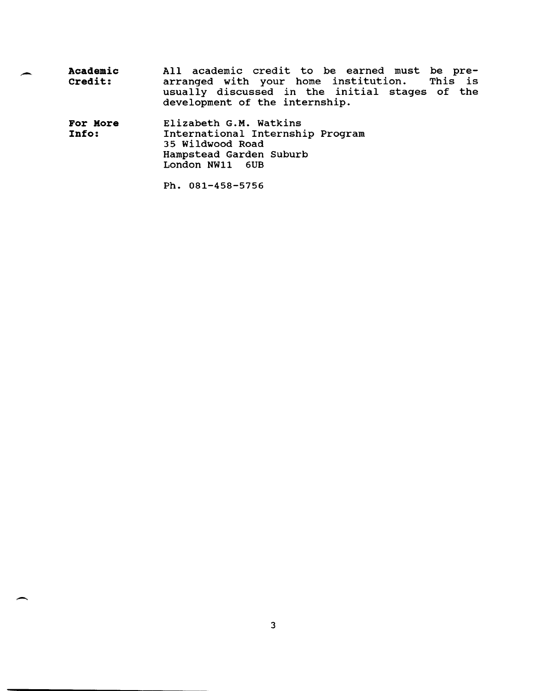| <b>Academic</b> |                                |  | All academic credit to be earned must be pre-  |  |
|-----------------|--------------------------------|--|------------------------------------------------|--|
| Credit:         |                                |  | arranged with your home institution. This is   |  |
|                 | development of the internship. |  | usually discussed in the initial stages of the |  |

**For More Info:**  Elizabeth G.M. Watkins International Internship Program 35 Wildwood Road Hampstead Garden Suburb London NW11 6UB

Ph. 081-458-5756

 $\overline{\phantom{0}}$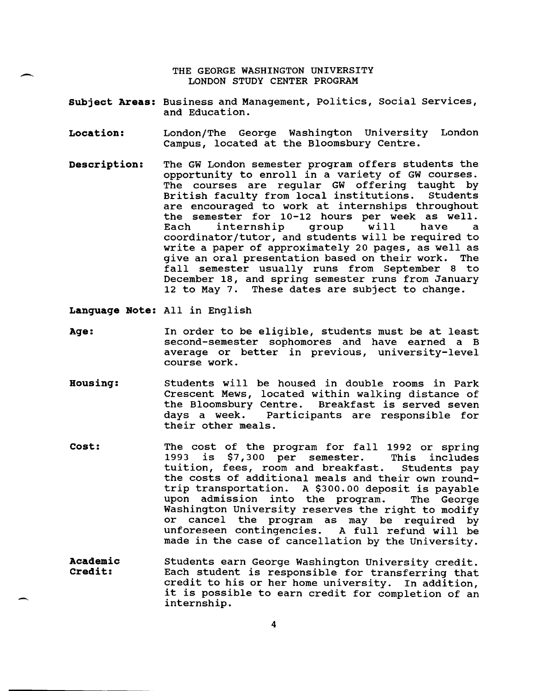THE GEORGE WASHINGTON UNIVERSITY LONDON STUDY CENTER PROGRAM

- **Subject Areas:** Business and Management, Politics, Social Services, and Education.
- **Location:**  London/The George Washington University London Campus, located at the Bloomsbury Centre.
- **Description:**  The GW London semester program offers students the opportunity to enroll in a variety of GW courses. The courses are regular GW offering taught by<br>British faculty from local institutions. Students British faculty from local institutions. are encouraged to work at internships throughout the semester for 10-12 hours per week as well. Each internship group will have a Each internship group will have a<br>coordinator/tutor, and students will be required to write a paper of approximately 20 pages, as well as give an oral presentation based on their work. The fall semester usually runs from September 8 to December 18, and spring semester runs from January 12 to May 7. These dates are subject to change.

**Language Note:** All in English

- **Age:**  In order to be eligible, students must be at least second-semester sophomores and have earned a B average or better in previous, university-level course work.
- **Housing:**  Students will be housed in double rooms in Park Crescent Mews, located within walking distance of<br>the Bloomsbury Centre. Breakfast is served seven the Bloomsbury Centre. Breakfast is served seven<br>days a week. Participants are responsible for Participants are responsible for their other meals.
- **cost:**  The cost of the program for fall 1992 or spring<br>1993 is \$7,300 per semester. This includes 1993 is \$7,300 per semester. This includes<br>tuition, fees, room and breakfast. Students pay tuition, fees, room and breakfast. the costs of additional meals and their own roundtrip transportation. A \$300.00 deposit is payable upon admission into the program. The George Washington University reserves the right to modify cancel the program as may be required by<br>preseen contingencies. A full refund will be unforeseen contingencies. made in the case of cancellation by the University.
- **Academic Credit:**  Students earn George Washington University credit. Each student is responsible for transferring that credit to his or her home university. In addition, it is possible to earn credit for completion of an internship.

4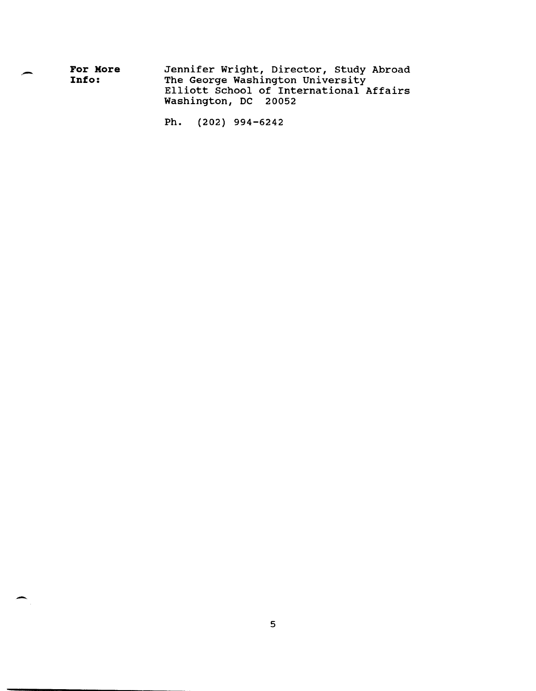| For More | Jennifer Wright, Director, Study Abroad |
|----------|-----------------------------------------|
| Info:    | The George Washington University        |
|          | Elliott School of International Affairs |
|          | Washington, DC 20052                    |

Ph. (202) 994-6242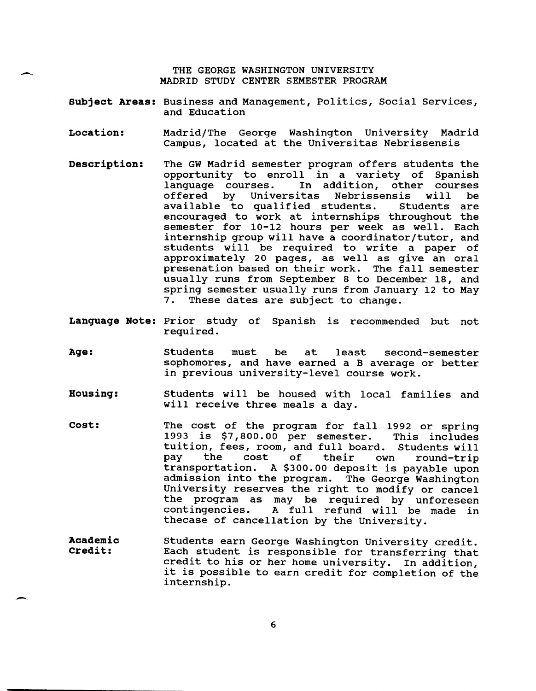THE GEORGE WASHINGTON UNIVERSITY MADRID STUDY CENTER SEMESTER PROGRAM

--

 $\overline{\phantom{0}}$ 

- **Subject Areas:** Business and Management, Politics, Social Services, and Education
- **Location:**  Madrid/The George Washington University Madrid Campus, located at the Universitas Nebrissensis
- **Description:**  The GW Madrid semester program offers students the opportunity to enroll in a variety of Spanish language courses. In addition, other courses<br>offered by Universitas Nebrissensis will be offered by Universitas Nebrissensis will be<br>available to qualified students. Students are available to qualified students. encouraged to work at internships throughout the semester for 10-12 hours per week as well. Each internship group will have a coordinator/tutor, and students will be required to write a paper of approximately 20 pages, as well as give an oral presenation based on their work. The fall semester usually runs from September 8 to December 18, and spring semester usually runs from January 12 to May 7. These dates are subject to change.
- **Language Note:** Prior study of Spanish is recommended but not required.
- **Age:**  Students must be at least second-semester sophomores, and have earned a B average or better in previous university-level course work.
- **Housing:**  Students will be housed with local families and will receive three meals a day.
- **cost:**  The cost of the program for fall 1992 or spring<br>1993 is \$7,800.00 per semester. This includes 1993 is \$7,800.00 per semester. This includes tuition, fees, room, and full board. Students will pay the cost of their own round-trip pay the cost of their own round-trip<br>transportation. A \$300.00 deposit is payable upon admission into the program. The George Washington University reserves the right to modify or cancel the program as may be required by unforeseen<br>contingencies. A full refund will be made in A full refund will be made in thecase of cancellation by the University.
- **Academic Credit:**  Students earn George Washington University credit. Each student is responsible for transferring that credit to his or her home university. In addition, it is possible to earn credit for completion of the internship.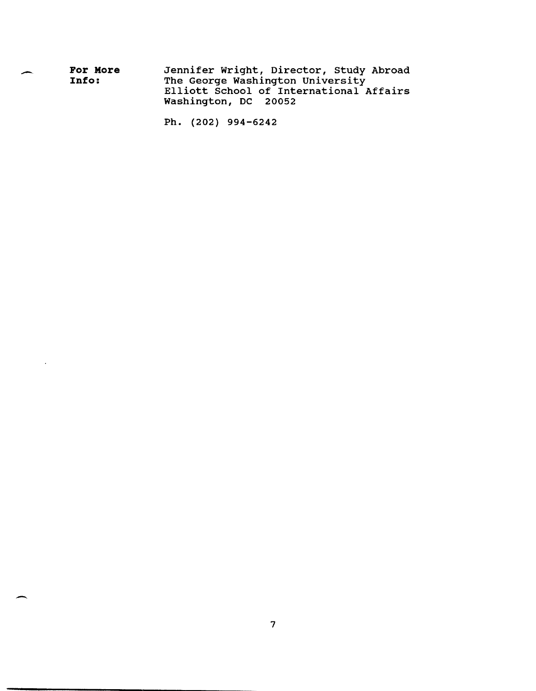| <b>For More</b> | Jennifer Wright, Director, Study Abroad |  |  |
|-----------------|-----------------------------------------|--|--|
| Info:           | The George Washington University        |  |  |
|                 | Elliott School of International Affairs |  |  |
|                 | Washington, DC 20052                    |  |  |

Ph. (202) 994-6242

 $\sim$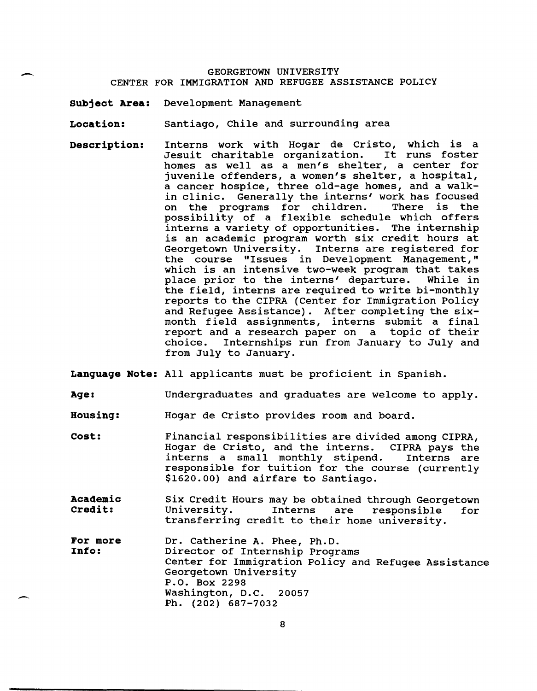#### GEORGETOWN UNIVERSITY CENTER FOR IMMIGRATION AND REFUGEE ASSISTANCE POLICY

**Subject Area:** Development Management

 $\overline{\phantom{0}}$ 

 $\overline{\phantom{0}}$ 

**Location:** Santiago, Chile and surrounding area

**Description:** Interns work with Hogar de Cristo, which is a Jesuit charitable organization. It runs foster homes as well as a men's shelter, a center for juvenile offenders, a women's shelter, a hospital, a cancer hospice, three old-age homes, and a walkin clinic. Generally the interns' work has focused<br>on the programs for children. There is the on the programs for children. possibility of a flexible schedule which offers interns a variety of opportunities. The internship is an academic program worth six credit hours at Georgetown University. Interns are registered for the course "Issues in Development Management," which is an intensive two-week program that takes<br>place prior to the interns' departure. While in place prior to the interns' departure. the field, interns are required to write bi-monthly reports to the CIPRA (Center for Immigration Policy and Refugee Assistance). After completing the sixmonth field assignments, interns submit a final report and a research paper on a topic of their choice. Internships run from January to July and from July to January.

**Language Note:** All applicants must be proficient in Spanish.

**Age:**  Undergraduates and graduates are welcome to apply.

**Housing:**  Hogar de Cristo provides room and board.

- **cost:**  Financial responsibilities are divided among CIPRA, Hogar de Cristo, and the interns. CIPRA pays the interns a small monthly stipend. responsible for tuition for the course (currently \$1620.00) and airfare to Santiago.
- **Academic Credit:**  six Credit Hours may be obtained through Georgetown are responsible for transferring credit to their home university.

**For more Info:**  Dr. Catherine A. Phee, Ph.D. Director of Internship Programs Center for Immigration Policy and Refugee Assistance Georgetown University P.O. Box 2298 Washington, D.C. 20057 Ph. (202) 687-7032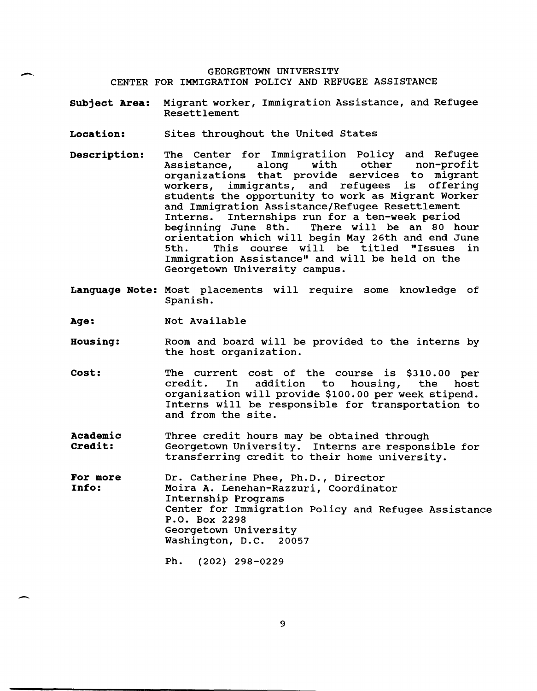#### GEORGETOWN UNIVERSITY CENTER FOR IMMIGRATION POLICY AND REFUGEE ASSISTANCE

**Subject Area:** Migrant worker, Immigration Assistance, and Refugee Resettlement

- **Location:** sites throughout the united states
- **Description:** The Center for Immigratiion Policy and Refugee<br>Assistance, along with other non-profit Assistance, along with other non-profit organizations that provide services to migrant workers, immigrants, and refugees is offering students the opportunity to work as Migrant Worker and Immigration Assistance/Refugee Resettlement<br>Interns. Internships run for a ten-week period Interns. Internships run for a ten-week period<br>beginning June 8th. There will be an 80 h There will be an 80 hour orientation which will begin May 26th and end June This course will be titled "Issues Immigration Assistance" and will be held on the Georgetown University campus.
- **Language Note:** Most placements will require some knowledge of Spanish.

**Age:**  Not Available

 $\overline{\phantom{0}}$ 

 $\overline{\phantom{a}}$ 

- **Housing:**  Room and board will be provided to the interns by the host organization.
- **cost:**  The current cost of the course is \$310.00 per credit. In addition to housing, the host credit. In organization will provide \$100.00 per week stipend. Interns will be responsible for transportation to and from the site.
- **Academic Credit:**  Three credit hours may be obtained through Georgetown University. Interns are responsible for transferring credit to their home university.
- **For more Info:**  Dr. Catherine Phee, Ph.D., Director Moira A. Lenehan-Razzuri, Coordinator Internship Programs Center for Immigration Policy and Refugee Assistance P.O. Box 2298 Georgetown University Washington, D.C. 20057

Ph. (202) 298-0229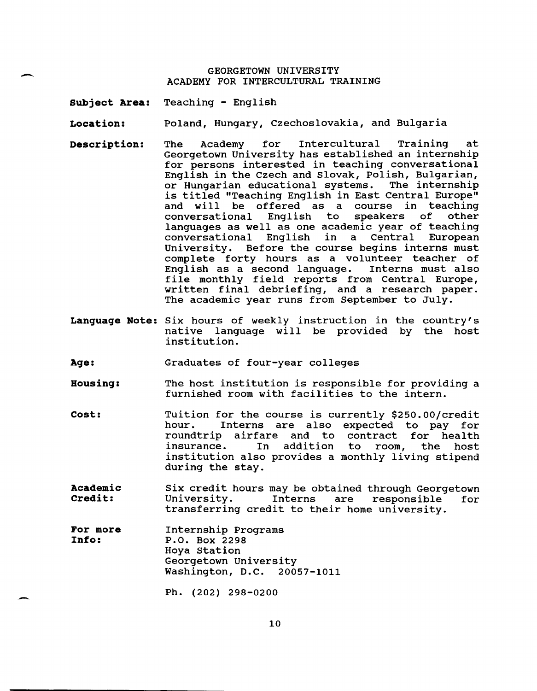#### GEORGETOWN UNIVERSITY ACADEMY FOR INTERCULTURAL TRAINING

**Subject Area:**  Teaching - English

 $\overline{\phantom{a}}$ 

-

**Location:**  Poland, Hungary, Czechoslovakia, and Bulgaria

- **Description:**  The Academy for Intercultural Training at Georgetown University has established an internship for persons interested in teaching conversational English in the Czech and Slovak, Polish, Bulgarian, or Hungarian educational systems. The internship is titled "Teaching English in East Central Europe" and will be offered as a course in teaching conversational English to speakers of languages as well as one academic year of teaching conversational English in a Central European University. Before the course begins interns must complete forty hours as a volunteer teacher of<br>English as a second language. Interns must also English as a second language. file monthly field reports from Central Europe, written final debriefing, and a research paper. The academic year runs from September to July.
- **Language Note:** Six hours of weekly instruction in the country's native language will be provided by the host institution.

**Age:**  Graduates of four-year colleges

- **Housing:**  The host institution is responsible for providing a furnished room with facilities to the intern.
- **cost:**  Tuition for the course is currently \$250.00/credit hour. Interns are also expected to pay for roundtrip airfare and to contract for health insurance. In addition institution also provides a monthly living stipend during the stay. to room, the host
- **Academic Credit:**  Six credit hours may be obtained through Georgetown University. Interns are responsible for University. Interns are responsible<br>transferring credit to their home university.
- **For more Info:**  Internship Programs P.O. Box 2298 Hoya station Georgetown University Washington, D.C. 20057-1011

Ph. (202) 298-0200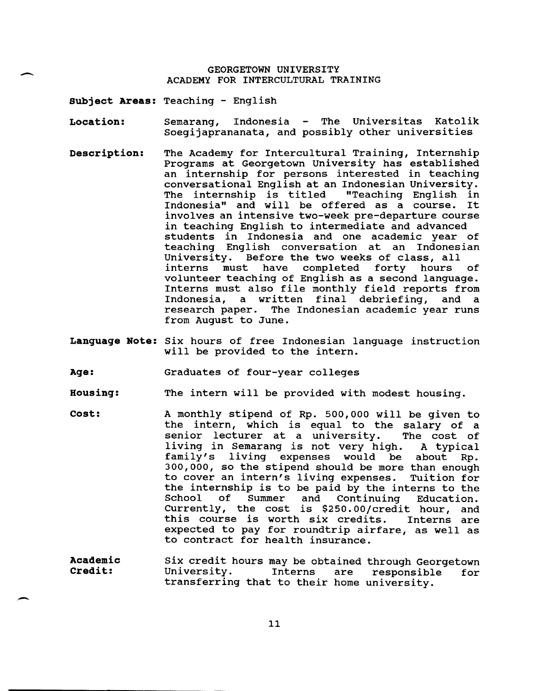#### GEORGETOWN UNIVERSITY ACADEMY FOR INTERCULTURAL TRAINING

**Subject Areas:** Teaching - English

 $\overline{\phantom{0}}$ 

-

- **Location:**  Semarang, Indonesia - The Universitas Katolik soegijaprananata, and possibly other universities
- **Description:**  The Academy for Intercultural Training, Internship Programs at Georgetown university has established an internship for persons interested in teaching conversational English at an Indonesian University.<br>The internship is titled "Teaching English in The internship is titled "Teaching English in<br>Indonesia" and will be offered as a course. It Indonesia" and will be offered as a course. involves an intensive two-week pre-departure course in teaching English to intermediate and advanced students in Indonesia and one academic year of teaching English conversation at an Indonesian University. Before the two weeks of class, all<br>interns must have completed forty hours have completed forty hours of volunteer teaching of English as a second language. Interns must also file monthly field reports from<br>Indonesia, a written final debriefing, and a Indonesia, a written final debriefing, research paper. The Indonesian academic year runs from August to June.
- **Language Note:** six hours of free Indonesian language instruction will be provided to the intern.

**Age:**  Graduates of four-year colleges

- **Housing:**  The intern will be provided with modest housing.
- **Cost:**  A monthly stipend of Rp. 500,000 will be given to the intern, which is equal to the salary of a<br>senior lecturer at a university. The cost of senior lecturer at a university. living in Semarang is not very high. A typical<br>family's living expenses would be about Rp. living expenses would be 300,000, so the stipend should be more than enough<br>to cover an intern's living expenses. Tuition for to cover an intern's living expenses. the internship is to be paid by the interns to the<br>School of Summer and Continuing Education. Continuing Currently, the cost is \$250.00/credit hour, and<br>this course is worth six credits. Interns are this course is worth six credits. expected to pay for roundtrip airfare, as well as to contract for health insurance.
- **Academic Credit:**  Six credit hours may be obtained through Georgetown<br>University. Interns are responsible for University. Interns are responsible for transferring that to their home university.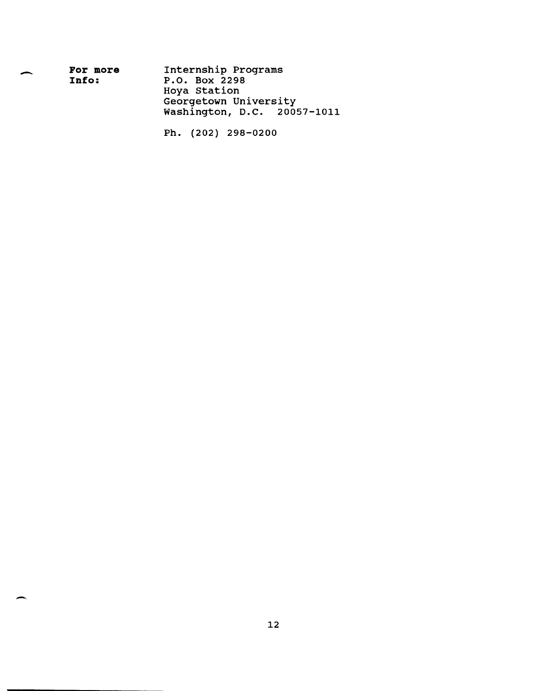| For more | Internship Programs         |
|----------|-----------------------------|
| Info:    | P.O. Box 2298               |
|          | Hoya Station                |
|          | Georgetown University       |
|          | Washington, D.C. 20057-1011 |
|          |                             |

 $\overline{\phantom{a}}$ 

 $\overline{\phantom{0}}$ 

Ph. (202) 298-0200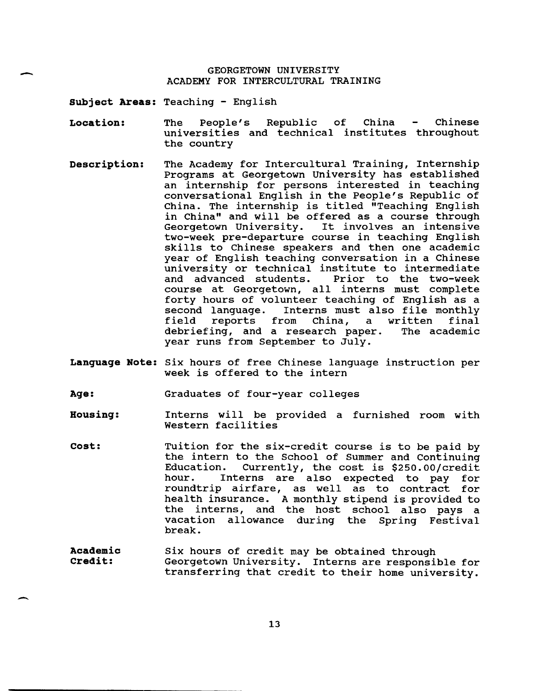#### GEORGETOWN UNIVERSITY ACADEMY FOR INTERCULTURAL TRAINING

**Subject Areas:** Teaching - English

-

 $\overline{\phantom{0}}$ 

- **Location:**  The People's Republic of China - Chinese universities and technical institutes throughout the country
- **Description:**  The Academy for Intercultural Training, Internship Programs at Georgetown University has established an internship for persons interested in teaching conversational English in the People's Republic of China. The internship is titled "Teaching English in China" and will be offered as a course through<br>Georgetown University. It involves an intensive It involves an intensive two-week pre-departure course in teaching English skills to Chinese speakers and then one academic year of English teaching conversation in a Chinese university or technical institute to intermediate and advanced students. Prior to the two-week course at Georgetown, all interns must complete forty hours of volunteer teaching of English as a second language. Interns must also file monthly<br>field reports from China, a written final reports from debriefing, and a research paper. The academic year runs from September to July.
- **Language Note:** six hours of free Chinese language instruction per week is offered to the intern
- **Age:**  Graduates of four-year colleges
- **Housing:**  Interns will be provided a furnished room with Western facilities
- **cost:**  Tuition for the six-credit course is to be paid by the intern to the School of Summer and Continuing Currently, the cost is \$250.00/credit hour. Interns are also expected to pay for roundtrip airfare, as well as to contract for health insurance. A monthly stipend is provided to the interns, and the host school also pays a vacation allowance during the Spring Festival break.
- **Academic Credit:**  Six hours of credit may be obtained through Georgetown University. Interns are responsible for transferring that credit to their home university.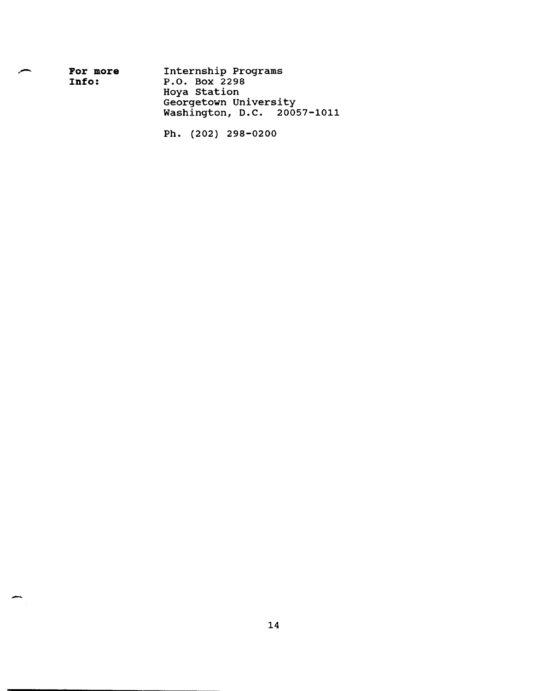| Internship Programs<br>P.O. Box 2298<br>Hoya Station |  |
|------------------------------------------------------|--|
| Georgetown University<br>Washington, D.C. 20057-1011 |  |
|                                                      |  |

Ph. (202) 298-0200

 $\frac{1}{\sqrt{2}}$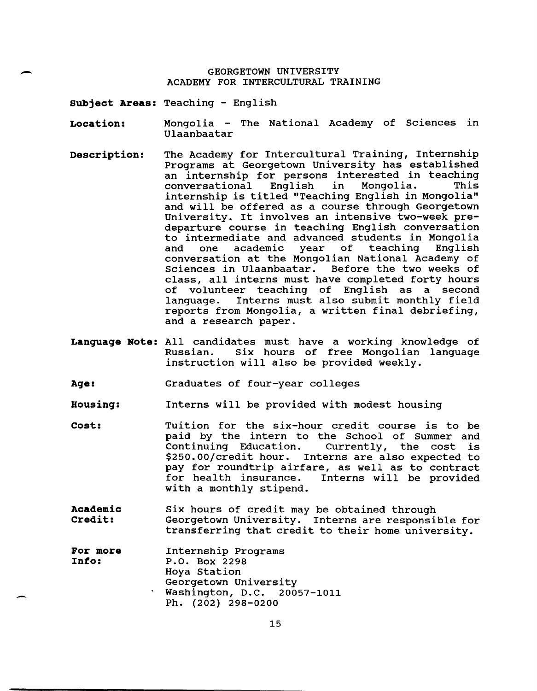## GEORGETOWN UNIVERSITY<br>ACADEMY FOR INTERCULTURAL TR ACADEMY FOR INTERCULTURAL TRAINING

**Subject Areas:** Teaching - English

**Location:**  Mongolia - The National Academy of Sciences in Ulaanbaatar

- **Description:**  The Academy for Intercultural Training, Internship Programs at Georgetown University has established an internship for persons interested in teaching conversational English in Mongolia. This conversational English in Mongolia. This<br>internship is titled "Teaching English in Mongolia" and will be offered as a course through Georgetown University. It involves an intensive two-week predeparture course in teaching English conversation to intermediate and advanced students in Mongolia teaching conversation at the Mongolian National Academy of Sciences in Ulaanbaatar. class, all interns must have completed forty hours of volunteer teaching of English as a second language. Interns must also submit monthly field reports from Mongolia, a written final debriefing, and a research paper.
- **Language Note:** All candidates must have a working knowledge of Six hours of free Mongolian language instruction will also be provided weekly.

**Age:**  Graduates of four-year colleges

**Housing:**  Interns will be provided with modest housing

- **cost:**  Tuition for the six-hour credit course is to be paid by the intern to the School of Summer and<br>Continuing Education. Currently, the cost is Currently, the cost is \$250.00/credit hour. Interns are also expected to pay for roundtrip airfare, as well as to contract<br>for health insurance. Interns will be provided Interns will be provided with a monthly stipend.
- **Academic Credit:**  six hours of credit may be obtained through Georgetown University. Interns are responsible for transferring that credit to their home university.

| For more | Internship Programs         |
|----------|-----------------------------|
| Info:    | P.O. Box 2298               |
|          | Hoya Station                |
|          | Georgetown University       |
|          | Washington, D.C. 20057-1011 |
|          | Ph. (202) 298-0200          |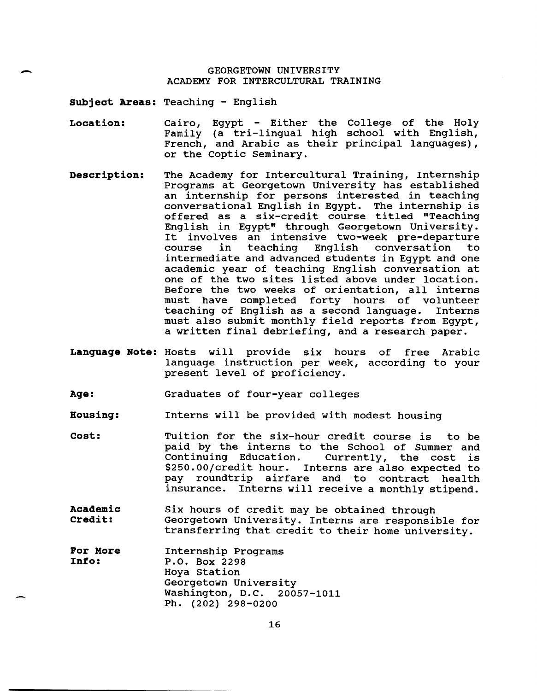# GEORGETOWN UNIVERSITY<br>
ACADEMY FOR INTERCULTURAL TRAINING

**Subject Areas:** Teaching - English

- **Location:**  Cairo, Egypt - Either the College of the Holy Family (a tri-lingual high school with English, French, and Arabic as their principal languages), or the coptic Seminary.
- **Description:**  The Academy for Intercultural Training, Internship Programs at Georgetown university has established an internship for persons interested in teaching conversational English in Egypt. The internship is offered as a six-credit course titled "Teaching English in Egypt" through Georgetown University. It involves an intensive two-week pre-departure<br>course in teaching English conversation to English conversation intermediate and advanced students in Egypt and one academic year of teaching English conversation at one of the two sites listed above under location. Before the two weeks of orientation, all interns must have completed forty hours of volunteer teaching of English as a second language. Interns must also submit monthly field reports from Egypt, a written final debriefing, and a research paper.
- **Language Note:** Hosts will provide six hours of free Arabic language instruction per week, according to your present level of proficiency.
- **Age:**  Graduates of four-year colleges

**Housing:**  Interns will be provided with modest housing

- **cost:**  Tuition for the six-hour credit course is to be paid by the interns to the School of Summer and<br>Continuing Education. Currently, the cost is Currently, the cost is \$250.00/credit hour. Interns are also expected to pay roundtrip airfare and to contract health insurance. Interns will receive a monthly stipend.
- **Academic Credit:**  Six hours of credit may be obtained through Georgetown University. Interns are responsible for transferring that credit to their home university.
- **For More Info:**  Internship Programs P.O. Box 2298 Hoya station Georgetown University Washington, D.C. 20057-1011 Ph. (202) 298-0200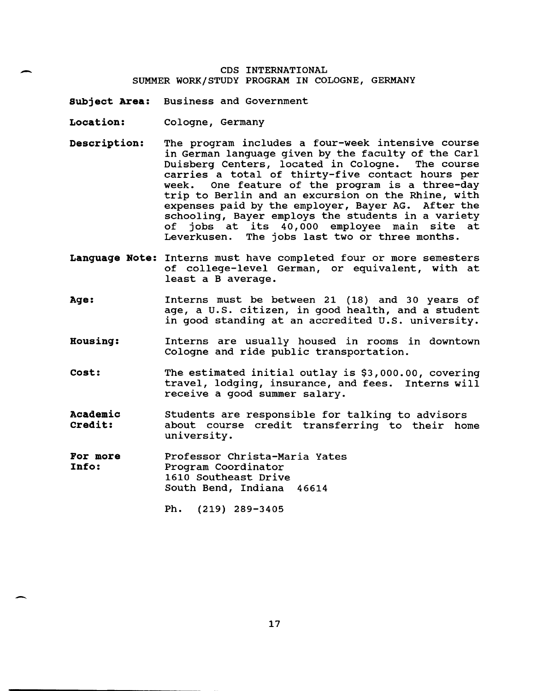#### CDS INTERNATIONAL SUMMER WORK/STUDY PROGRAM IN COLOGNE, GERMANY

**Subject Area:** Business and Government

**Location:** Cologne, Germany

-

-

- **Description:** The program includes a four-week intensive course in German language given by the faculty of the Carl Duisberg Centers, located in Cologne. The course carries a total of thirty-five contact hours per<br>week. One feature of the program is a three-day One feature of the program is a three-day trip to Berlin and an excursion on the Rhine, with expenses paid by the employer, Bayer AG. After the schooling, Bayer employs the students in a variety<br>of jobs at its 40,000 employee main site at of jobs at its 40,000 employee main site at<br>Leverkusen. The jobs last two or three months. The jobs last two or three months.
- **Language Note:** Interns must have completed four or more semesters of college-level German, or equivalent, with at least a B average.
- **Age:**  Interns must be between 21 (18) and 30 years of age, a U.S. citizen, in good health, and a student in good standing at an accredited U.S. university.
- **Housing:**  Interns are usually housed in rooms in downtown Cologne and ride public transportation.
- **cost:**  The estimated initial outlay is \$3,000.00, covering travel, lodging, insurance, and fees. Interns will receive a good summer salary.
- **Academic Credit:**  Students are responsible for talking to advisors about course credit transferring to their home university.
- **For more Info:**  Professor Christa-Maria Yates Program Coordinator 1610 Southeast Drive South Bend, Indiana 46614
	- Ph. (219) 289-3405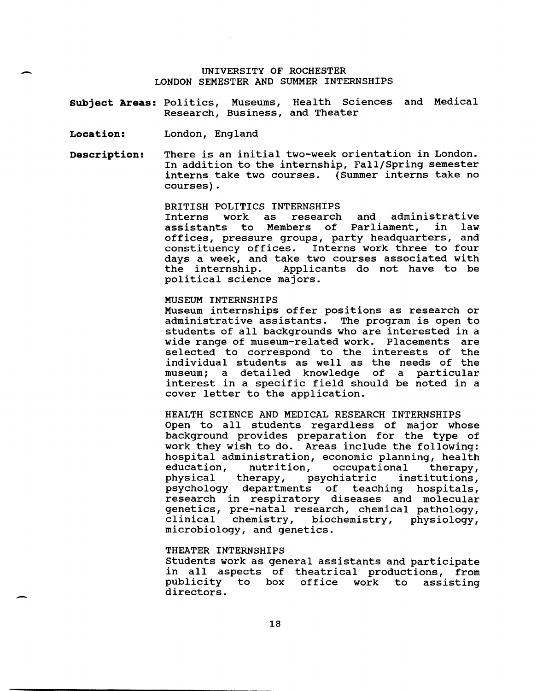#### UNIVERSITY OF ROCHESTER LONDON SEMESTER AND SUMMER INTERNSHIPS

**Subject Areas:** Politics, Museums, Health Sciences and Medical Research, Business, and Theater

**Location:**  London, England

-

-

**Description:**  There is an initial two-week orientation in London. In addition to the internship, Fall/Spring semester interns take two courses. (Summer interns take no courses).

BRITISH POLITICS INTERNSHIPS

Interns work as research and administrative<br>assistants to Members of Parliament, in law assistants to Members of Parliament, offices, pressure groups, party headquarters, and constituency offices. Interns work three to four days a week, and take two courses associated with<br>the internship. Applicants do not have to be Applicants do not have to be political science majors.

#### MUSEUM INTERNSHIPS

Museum internships offer positions as research or administrative assistants. The program is open to students of all backgrounds who are interested in a wide range of museum-related work. Placements are selected to correspond to the interests of the individual students as well as the needs of the museum; a detailed knowledge of a particular interest in a specific field should be noted in a cover letter to the application.

HEALTH SCIENCE AND MEDICAL RESEARCH INTERNSHIPS Open to all students regardless of major whose background provides preparation for the type of work they wish to do. Areas include the following: hospital administration, economic planning, health<br>education, nutrition, occupational therapy, education, nutrition, occupational therapy,<br>physical therapy, psychiatric institutions, physical therapy, psychiatric institutions, psychology departments of teaching hospitals, research in respiratory diseases and molecular genetics, pre-natal research, chemical pathology, clinical chemistry, biochemistry, physiology, microbiology, and genetics.

#### THEATER INTERNSHIPS

Students work as general assistants and participate in all aspects of theatrical productions, from office work to directors.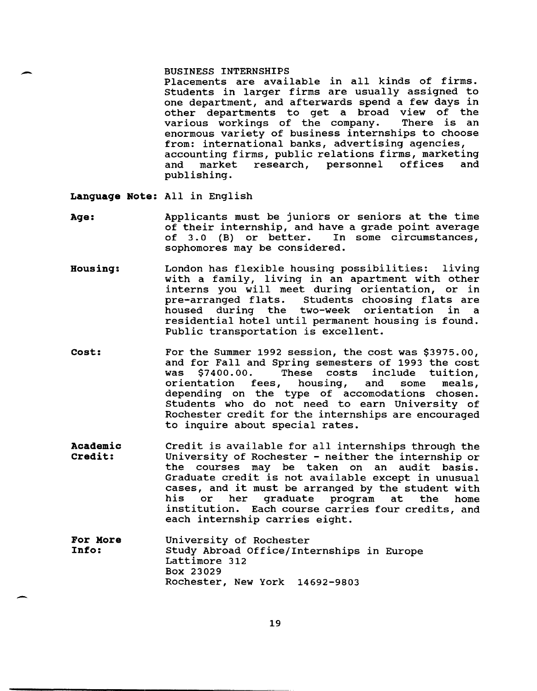#### BUSINESS INTERNSHIPS

Placements are available in all kinds of firms. Students in larger firms are usually assigned to one department, and afterwards spend a few days in other departments to get a broad view of the<br>various workings of the company. There is an various workings of the company. enormous variety of business internships to choose from: international banks, advertising agencies, accounting firms, public relations firms, marketing<br>and market research, personnel offices and research, personnel publishing.

**Language Note:** All in English

-

-

- **Age:**  Applicants must be juniors or seniors at the time of their internship, and have a grade point average<br>of 3.0 (B) or better. In some circumstances, of  $3.0$  (B) or better. sophomores may be considered.
- **Housing:**  London has flexible housing possibilities: living with a family, living in an apartment with other interns you will meet during orientation, or in<br>pre-arranged flats. Students choosing flats are pre-arranged flats. Students choosing flats are<br>housed during the two-week orientation in a the two-week orientation in residential hotel until permanent housing is found. Public transportation is excellent.
- **cost:**  For the Summer 1992 session, the cost was \$3975.00, and for Fall and Spring semesters of 1993 the cost was \$7400.00. These costs include tuition, was \$7400.00. These costs include tuition,<br>orientation fees, housing, and some meals, depending on the type of accomodations chosen. Students who do not need to earn University of Rochester credit for the internships are encouraged to inquire about special rates.
- **Academic Credit:**  Credit is available for all internships through the University of Rochester - neither the internship or the courses may be taken on an audit basis. Graduate credit is not available except in unusual Graduate credit is not available except in unusual<br>cases, and it must be arranged by the student with bases, and is mass so diranged by the seadent with his or her graduate program at the home<br>institution. Each course-carries-four-credits, and each internship carries eight.
- **For More Info:**  University of Rochester Study Abroad Office/Internships in Europe Lattimore 312 Box 23029 Rochester, New York 14692-9803

19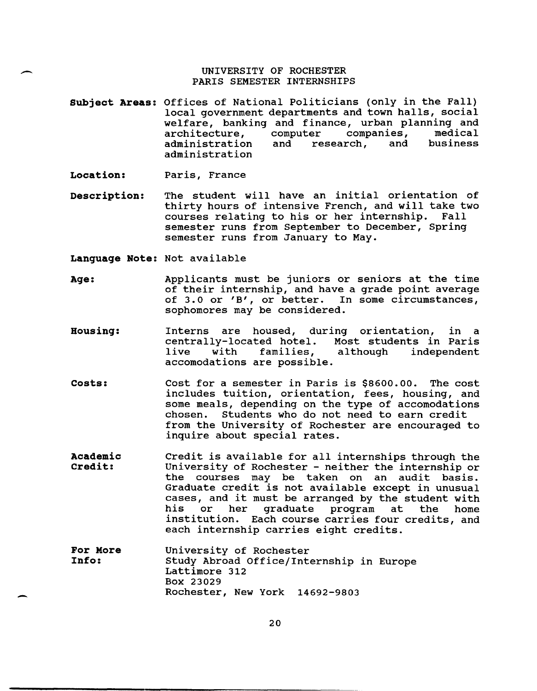#### UNIVERSITY OF ROCHESTER PARIS SEMESTER INTERNSHIPS

**Subject Areas:**  Offices of National Politicians (only in the Fall) local government departments and town halls, social welfare, banking and finance, urban planning and<br>architecture, computer companies, medical architecture, computer companies, medical<br>administration and research, and business and research, administration

**Location:**  Paris, France

--

-

**Description:**  The student will have an initial orientation of thirty hours of intensive French, and will take two courses relating to his or her internship. Fall semester runs from September to December, Spring semester runs from January to May.

**Language Note:** Not available

- **Age:**  Applicants must be juniors or seniors at the time of their internship, and have a grade point average of 3.0 or 'B', or better. In some circumstances, sophomores may be considered.
- **Housing:**  Interns are housed, during orientation, in a centrally-located hotel. Most students in Paris although independent accomodations are possible.
- **Costs:**  Cost for a semester in Paris is \$8600.00. The cost includes tuition, orientation, fees, housing, and some meals, depending on the type of accomodations chosen. Students who do not need to earn credit from the University of Rochester are encouraged to inquire about special rates.
- **Academic Credit:**  Credit is available for all internships through the University of Rochester - neither the internship or the courses may be taken on an audit basis. Graduate credit is not available except in unusual Graduate credit is not available except in unusual<br>cases, and it must be arranged by the student with bases, and is mass be diranged by the seadent with his or her graduate program at the home<br>institution. Each course-carries-four-credits, and each internship carries eight credits.
- **For More Info:**  University of Rochester Study Abroad Office/Internship in Europe Lattimore 312 Box 23029 Rochester, New York 14692-9803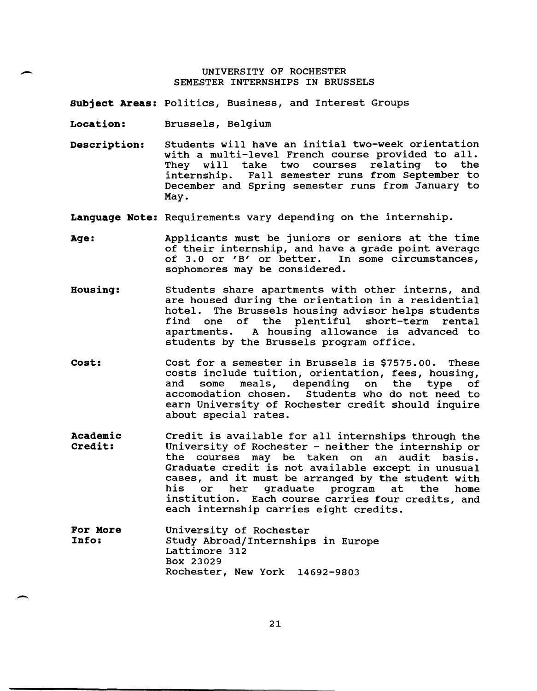#### UNIVERSITY OF ROCHESTER SEMESTER INTERNSHIPS IN BRUSSELS

**Subject Areas:** Politics, Business, and Interest Groups

**Location:**  Brussels, Belgium

-

-

**Description:**  Students will have an initial two-week orientation with a multi-level French course provided to all.<br>They will take two courses relating to the They will take two courses relating internship. Fall semester runs from September to December and Spring semester runs from January to May.

**Language Note:** Requirements vary depending on the internship.

- **Age:**  Applicants must be juniors or seniors at the time of their internship, and have a grade point average<br>of 3.0 or 'B' or better. In some circumstances, of 3.0 or  $'B'$  or better. sophomores may be considered.
- **Housing:**  Students share apartments with other interns, and are housed during the orientation in a residential hotel. The Brussels housing advisor helps students<br>find one of the plentiful short-term rental find one of the plentiful short-term<br>apartments. A housing allowance is advare A housing allowance is advanced to students by the Brussels program office.
- **cost:**  Cost for a semester in Brussels is \$7575.00. These costs include tuition, orientation, fees, housing, and some meals, depending<br>accomodation chosen. Students Students who do not need to earn University of Rochester credit should inquire about special rates.
- **Academic Credit:**  Credit is available for all internships through the University of Rochester - neither the internship or the courses may be taken on an audit basis. Graduate credit is not available except in unusual Graduate credit is not available except in unusual<br>cases, and it must be arranged by the student with bases, and it mase be arranged by the statent with his or her graduate program at the home<br>institution. Each course carries four credits, and each internship carries eight credits.
- **For More Info:**  University of Rochester Study Abroad/Internships in Europe Lattimore 312 Box 23029 Rochester, New York 14692-9803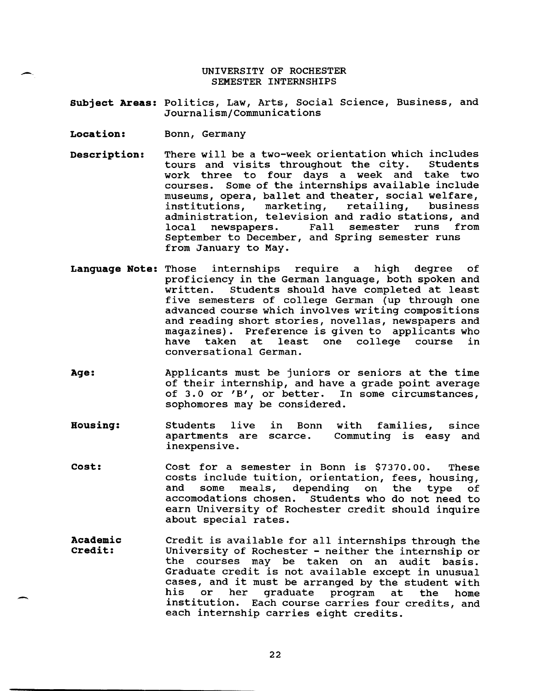UNIVERSITY OF ROCHESTER SEMESTER INTERNSHIPS

**Subject Areas:** Politics, Law, Arts, Social Science, Business, and Journalism/Communications

**Location:** Bonn, Germany

--.

-

- **Description:** There will be a two-week orientation which includes<br>tours and visits throughout the city. Students tours and visits throughout the city. work three to four days a week and take two courses. Some of the internships available include museums, opera, ballet and theater, social welfare,<br>institutions, marketing, retailing, business institutions, marketing, administration, television and radio stations, and<br>local newspapers. Fall semester runs from semester runs September to December, and Spring semester runs from January to May.
- **Language Note:** Those internships require a high degree of proficiency in the German language, both spoken and written. Students should have completed at least five semesters of college German (up through one advanced course which involves writing compositions and reading short stories, novellas, newspapers and magazines). Preference is given to applicants who<br>have taken at least one college course in least one college course conversational German.
- **Age:** Applicants must be juniors or seniors at the time of their internship, and have a grade point average of 3.0 or 'B', or better. In some circumstances, sophomores may be considered.
- **Housing:**  Students live in Bonn apartments are scarce. inexpensive. with families, since Commuting is easy and
- **cost:**  Cost for a semester in Bonn is \$7370.00. These costs include tuition, orientation, fees, housing, and some meals, depending on the type<br>accomodations chosen. Students who do not need Students who do not need to earn University of Rochester credit should inquire about special rates.
- **Academic Credit:**  Credit is available for all internships through the University of Rochester - neither the internship or the courses may be taken on an audit basis. Graduate credit is not available except in unusual Graduate creait is not available except in unusual<br>cases, and it must be arranged by the student with bases, and it mast be arranged by the stadent with<br>his or her graduate program at the home his or her graduate program at the home<br>institution. Each course-carries-four-credits, and each internship carries eight credits.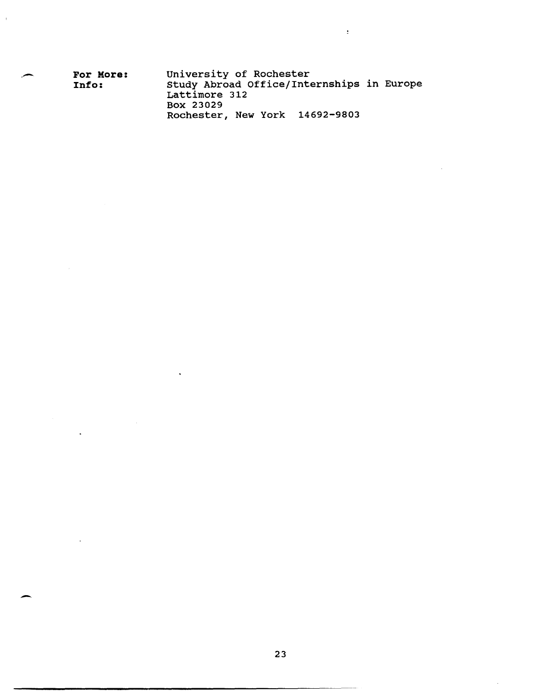| ~ | For More:<br>Info: | University of Rochester<br>Study Abroad Office/Internships in Europe |
|---|--------------------|----------------------------------------------------------------------|
|   |                    | Lattimore 312                                                        |
|   |                    | Box 23029                                                            |
|   |                    | Rochester, New York 14692-9803                                       |

 $\ddot{\phantom{a}}$ 

 $\overline{\mathbf{z}}$ 

-

 $\blacksquare$ 

 $\bar{t}$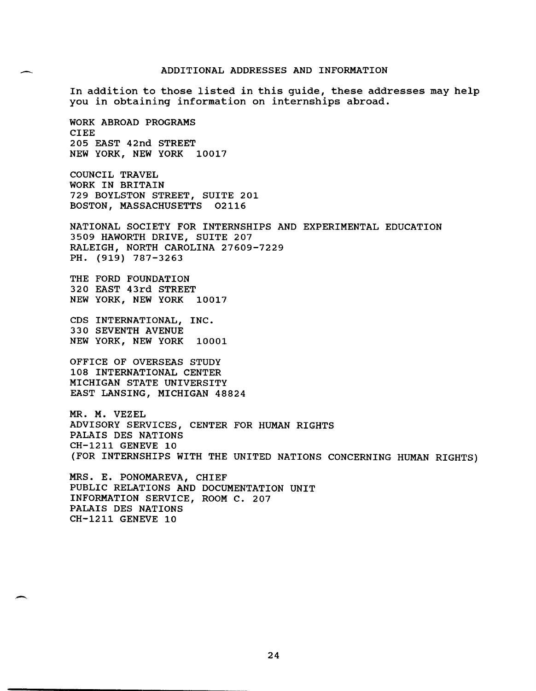#### ADDITIONAL ADDRESSES AND INFORMATION

In addition to those listed in this guide, these addresses may help you in obtaining information on internships abroad.

WORK ABROAD PROGRAMS CIEE 205 EAST 42nd STREET NEW YORK, NEW YORK 10017

COUNCIL TRAVEL WORK IN BRITAIN 729 BOYLSTON STREET, SUITE 201 BOSTON, MASSACHUSETTS 02116

NATIONAL SOCIETY FOR INTERNSHIPS AND EXPERIMENTAL EDUCATION 3509 HAWORTH DRIVE, SUITE 207 RALEIGH, NORTH CAROLINA 27609-7229 PH. (919) 787-3263

THE FORD FOUNDATION 320 EAST 43rd STREET NEW YORK, NEW YORK 10017

CDS INTERNATIONAL, INC. 330 SEVENTH AVENUE NEW YORK, NEW YORK 10001

OFFICE OF OVERSEAS STUDY 108 INTERNATIONAL CENTER MICHIGAN STATE UNIVERSITY EAST LANSING, MICHIGAN 48824

MR. M. VEZEL ADVISORY SERVICES, CENTER FOR HUMAN RIGHTS PALAIS DES NATIONS CH-1211 GENEVE 10 (FOR INTERNSHIPS WITH THE UNITED NATIONS CONCERNING HUMAN RIGHTS)

MRS. E. PONOMAREVA, CHIEF PUBLIC RELATIONS AND DOCUMENTATION UNIT INFORMATION SERVICE, ROOM C. 207 PALAIS DES NATIONS CH-1211 GENEVE 10